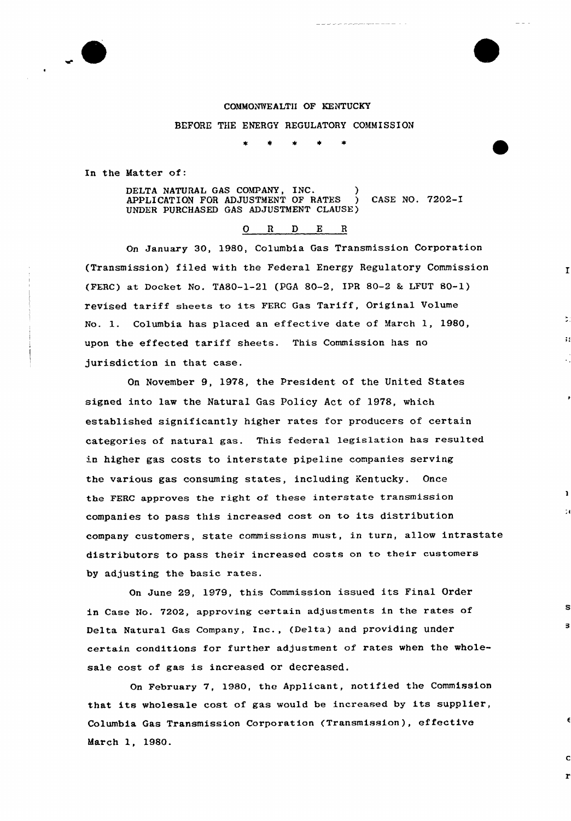### COMMONWEALTH OF KENTUCKY

BEFORE THE ENERGY REGULATORY COMMISSION

In the Matter of:

DELTA NATURAL GAS COMPANY, INC. ) APPLICATION FOR ADJUSTMENT OF RATES ) CASE NO. 7202-I UNDER PURCHASED GAS ADJUSTMENT CLAUSE)

# 0 <sup>R</sup> <sup>D</sup> E <sup>R</sup>

 $\mathbf{r}$ 

3

On January 30, 1980, Columbia Gas Transmission Corporation (Txansmission) filed with the Federal Energy Regulatory Commission (FERC) at Docket No. TA80-1-21 (PGA 80-2, IPR 80-2 & LFUT 80-1) revised tariff sheets to its FERC Gas Tariff, Original Volume No. 1. Columbia has placed an effective date of March 1, 1980, upon the effected tariff sheets. This Commission has no jurisdiction in that case.

On November 9, 1978, the President of the United States signed into law the Natural Gas Policy Act of 1978, which established significantly higher rates for producers of certain categories of natural gas. This federal legislation has resulted in higher gas costs to interstate pipeline companies serving the various gas consuming states, including kentucky. Once the FERC approves the right of these interstate transmission companies to pass this increased cost on to its distribution company customers, state commissions must, in turn, allow intrastate distributors to pass their increased costs on to their customers by adjusting the basic rates.

On June 29, 1979, this Commission issued its Final Order in Case No. 7202, approving certain adjustments in the rates of Delta Natuxal Gas Company, Inc., (Delta) and providing under certain conditions for further adjustment of. rates when the wholesale cost of gas is increased or decreased.

On February 7, 1980, the Applicant, notified the Commission that its wholesale cost of gas would be increased by its supplier, Columbia Gas Transmission Corporation (Transmission), effective March 1, 1980.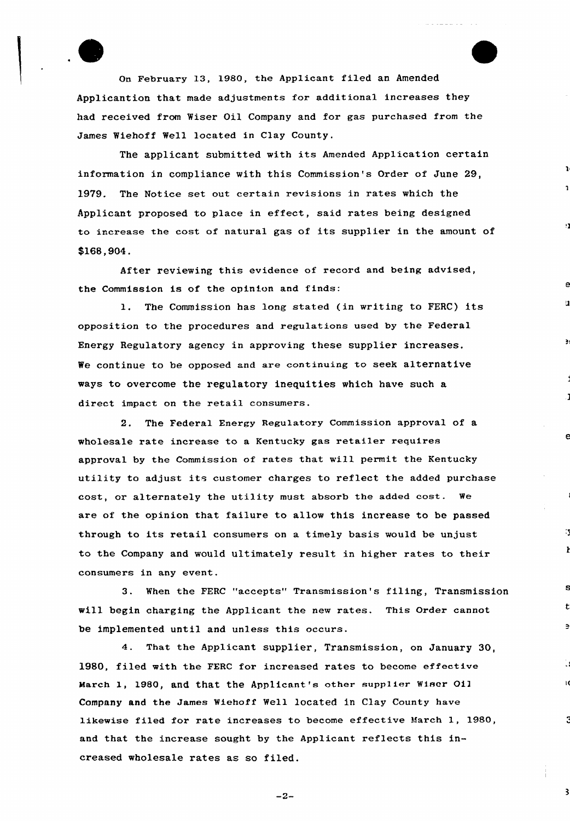Qn February 13, 1980, the AppIicant filed an Amended Applicantion that made adjustments for additional increases they had received from Wiser Oil Company and for gas purchased from the James Wiehoff Well located in Clay County.

The applicant submitted with its Amended Application certain information in compliance with this Commission's Order of June 29, 1979. The Notice set out certain revisions in rates which the Applicant proposed to place in effect, said rates being designed to increase the cost of natural gas of its supplier in the amount of \$168,904.

n

 $\mathbf{1}$ 

e

 $\mathbf{r}$ 

S

 $\overline{\mathbf{3}}$ 

After reviewing this evidence of record and being advised, the Commission is of the opinion and finds:

1. The Commission has long stated (in writing to FERC) its opposition to the procedures and regulations used by the Federal Energy Regulatory agency in approving these supplier increases, We continue to be opposed and are continuing to seek alternative ways to overcome the regulatory inequities which have such a direct impact on the retail consumers.

2. The Federal Energy Regulatory Commission approval of a wholesale rate increase to a Kentucky gas retailer requires approval by the Commission of rates that will permit the Kentucky utility to adjust its customer charges to reflect the added purchase cost, or alternately the utility must absorb the added cost. We are of the opinion that failure to allow this increase to be passed through to its retail consumers on a timely basis would be unjust to the Company and would ultimately result in higher rates to their consumers in any event.

3. When the FERC "accepts" Transmission's filing, Transmission will begin charging the Applicant the new rates. This Order cannot be implemented until and unless this occurs.

4. That the Applicant supplier, Transmission, on January 30, 1980, filed with the FERC for increased rates to become effective March 1, 1980, and that the Applicant's other supplier Wiser Oi] Company and the James Wiehoff Well located in Clay County have likewise filed for rate increases to become effective March 1, 1980, and that the increase sought by the Applicant reflects this increased wholesale rates as so filed.

 $-2-$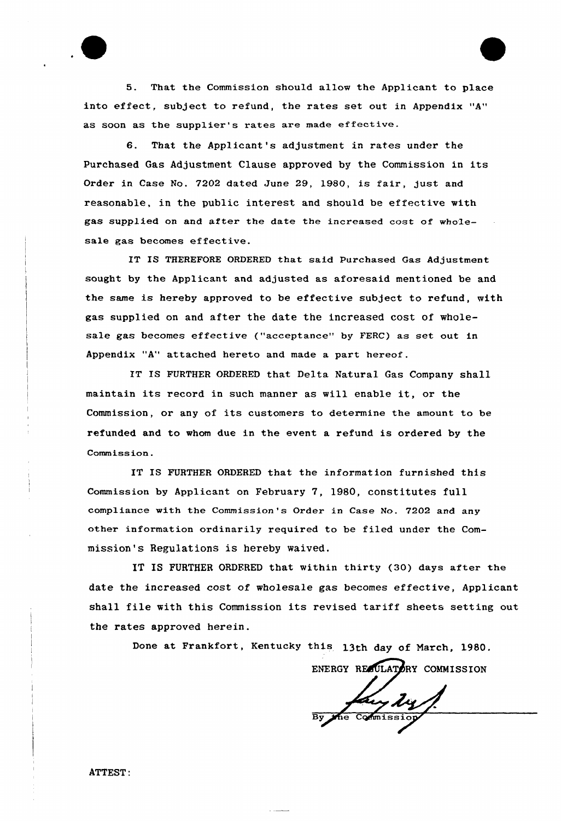5. That the Commission should allow the Applicant to place into effect, subject to refund, the rates set out in Appendix "A" as soon as the supplier's rates are made effective.

6. That the Applicant's adjustment in rates under the Purchased Gas Adjustment Clause approved by the Commission in its Order in Case No. 7202 dated June 29, 1980, is fair, just and reasonable, in the public interest and should be effective with gas supplied on and after the date the increased cost of wholesale gas becomes effective.

IT IS THEREFORE ORDERED that said Purchased Gas Adjustment sought by the Applicant and adjusted as aforesaid mentioned be and the same is hereby approved to be effective subject to refund, with gas supplied on and after the date the increased cost of wholesale gas becomes effective ("acceptance" by FERC) as set out in Appendix "A" attached hereto and made a part hereof.

IT IS FURTHER ORDERED that Delta Natural Gas Company shall maintain its record in such manner as will enable it, or the Commission, or any of its customers to determine the amount to be refunded and to whom due in the event a refund is ordered by the Commission.

IT IS FURTHER ORDERED that the information furnished this Commission by Applicant on February 7, 1980, constitutes full compliance with the Commission's Order in Case No. 7202 and any other information ordinarily required to be filed under the Commission's Regulations is hereby waived.

IT IS FURTHER ORDFRED that within thirty {30) days after the date the increased cost of wholesale gas becomes effective, Applicant shall file with this Commission its revised tariff sheets setting out the rates approved herein.

Done at Frankfort, Kentucky this 13th day of March, 1980.

ENERGY REAULATORY COMMISSION

yty

ATTEST: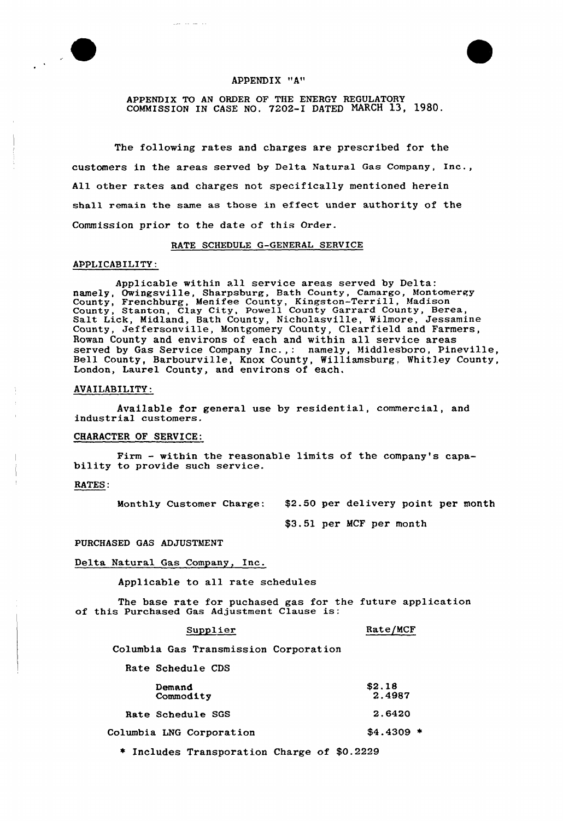

# APPENDIX "A"

APPENDIX TO AN ORDER OF THE ENERGY REGULATORY COMMISSION IN CASE NO. 7202-I DATED NARCH 13, 1980.

The following rates and charges are prescribed for the customers in the areas served by Delta Natural Gas Company, Inc., All other rates and charges not specifically mentioned herein shall remain the same as those in effect under authority of the Commission prior. to the date of this Order.

### RATE SCHEDULE G-GENERAL SERVICE

## APPLICABILITY:

Applicable within all service areas served by Delta: namely, Owingsville, Sharpsburg, Bath County, Camargo, Montomere namely, Swingsville, Sharpsbarg, Bach Souncy, Camargo, Menice County, Stanton, Clay City, Powell County Garrard County, Berea, Salt Lick, Midland, Bath County, Nicholasville, Wilmore, Jessamine County, Jeffersonville, Montgomery County, Clearfield and Farmers, Rowan County and environs of each and within all service areas Rowan County and environs of each and within all service areas<br>served by Gas Service Company Inc.,: namely, Middlesboro, Pineville Bell County, Barbourville, Knox County, Williamsburg. Whitley County, London, Laurel County, and environs of each.

#### AVAILABILITY:

Available for general use by residential, commercial, and industrial customers.

## CHARACTER OF SERVICE:

Firm — within the reasonable limits of the company's capa- bility to provide such service.

RATES:

Month1y Customer Charge: \$2.50 per delivery point per month

\$3.51 per MCF per month

## PURCHASED GAS ADJUSTMENT

# Delta Natural Gas Company, Inc.

Applicable to all rate schedules

The base rate for puchased gas for the future application of this Purchased Gas Adjustment Clause is:

### Supplier

Rate/MCF

Columbia Gas Transmission Corporation

|  | Rate Schedule CDS |  |
|--|-------------------|--|
|--|-------------------|--|

| Demand<br>Commodity      | \$2.18<br>2.4987 |
|--------------------------|------------------|
| Rate Schedule SGS        | 2.6420           |
| Columbia LNG Corporation | $$4.4309$ *      |

Includes Transporation Charge of \$0.2229